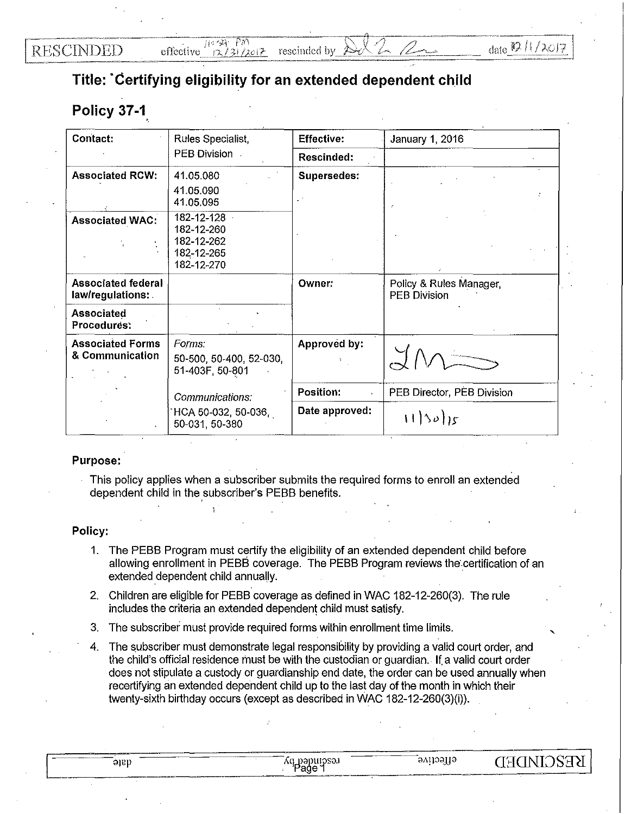## **Title: ·certifying eligibility for an extended dependent child**

## **Policy 37-1** .

| Contact:                                      | Rules Specialist,<br>PEB Division.                                 | <b>Effective:</b> | January 1, 2016                                |  |
|-----------------------------------------------|--------------------------------------------------------------------|-------------------|------------------------------------------------|--|
|                                               |                                                                    | Rescinded:        |                                                |  |
| <b>Associated RCW:</b>                        | 41.05.080<br>41.05.090<br>41.05.095                                | Supersedes:       |                                                |  |
| <b>Associated WAC:</b>                        | 182-12-128<br>182-12-260<br>182-12-262<br>182-12-265<br>182-12-270 |                   |                                                |  |
| <b>Associated federal</b><br>law/regulations: |                                                                    | Owner:            | Policy & Rules Manager,<br><b>PEB Division</b> |  |
| Associated<br>Procedures:                     |                                                                    |                   |                                                |  |
| <b>Associated Forms</b><br>& Communication    | Forms:<br>50-500, 50-400, 52-030,<br>51-403F, 50-801               | Approved by:      |                                                |  |
|                                               | Communications:<br>HCA 50-032, 50-036,<br>50-031, 50-380           | <b>Position:</b>  | PEB Director, PEB Division                     |  |
|                                               |                                                                    | Date approved:    | 11505                                          |  |

## Purpose:

This policy applies when a subscriber submits the required forms to enroll an extended dependent child in the subscriber's PEBB benefits.

## Policy:

- 1. The PEBB Program must certify the eligibility of an extended dependent child before allowing enrollment in PEBB coverage. The PEBB Program reviews the certification of an extended dependent child annually.
- 2. Children are eligible for PEBB coverage as defined in WAC 182-12-260(3). The rule includes the criteria an extended dependent child must satisfy.
- 3. The subscriber must provide required forms within enrollment time limits.
- 4. The subscriber must demonstrate legal responsibility by providing a valid court order, and the child's official residence must be with the custodian or guardian .. If. a valid court order does not stipulate a custody or guardianship end date, the order can be used annually when recertifying an extended dependent child up to the last day of the month in which their twenty-sixth birthday occurs (except as described in WAC 182-12-260(3)(i)).

|      |                                |                | -----        |
|------|--------------------------------|----------------|--------------|
| əish | DHIOSAI<br>ווי<br>770<br>'Page | effective<br>w | <b>KESCI</b> |
|      |                                |                | ____         |